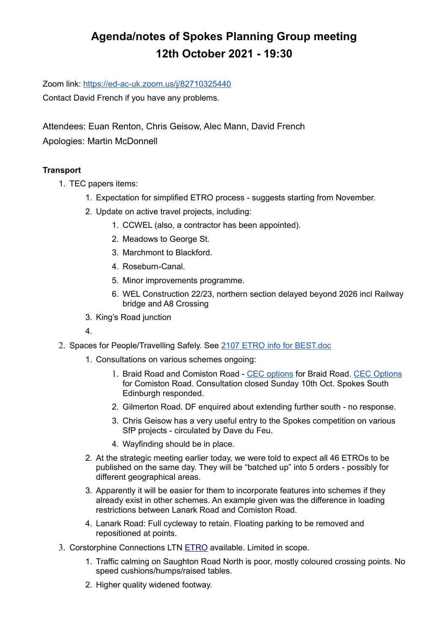# **Agenda/notes of Spokes Planning Group meeting 12th October 2021 - 19:30**

Zoom link:<https://ed-ac-uk.zoom.us/j/82710325440>

Contact David French if you have any problems.

Attendees: Euan Renton, Chris Geisow, Alec Mann, David French Apologies: Martin McDonnell

## **Transport**

- 1. TEC papers items:
	- 1. Expectation for simplified ETRO process suggests starting from November.
	- 2. Update on active travel projects, including:
		- 1. CCWEL (also, a contractor has been appointed).
		- 2. Meadows to George St.
		- 3. Marchmont to Blackford.
		- 4. Roseburn-Canal.
		- 5. Minor improvements programme.
		- 6. WEL Construction 22/23, northern section delayed beyond 2026 incl Railway bridge and A8 Crossing
	- 3. King's Road junction
	- 4.
- 2. Spaces for People/Travelling Safely. See [2107 ETRO info for BEST.doc](https://docs.google.com/document/d/18d2kpTLMNJEV8axN5FGy8ANL0ssHiKEI/edit?usp=sharing&ouid=111197287464161786406&rtpof=true&sd=true)
	- 1. Consultations on various schemes ongoing:
		- 1. Braid Road and Comiston Road - [CEC options](https://drscottarthur.files.wordpress.com/2021/09/braid-comiston-revision-options.pdf) for Braid Road. [CEC Options](https://drscottarthur.files.wordpress.com/2021/09/braid-comiston-revision-options.pdf) for Comiston Road. Consultation closed Sunday 10th Oct. Spokes South Edinburgh responded.
		- 2. Gilmerton Road. DF enquired about extending further south no response.
		- 3. Chris Geisow has a very useful entry to the Spokes competition on various SfP projects - circulated by Dave du Feu.
		- 4. Wayfinding should be in place.
	- 2. At the strategic meeting earlier today, we were told to expect all 46 ETROs to be published on the same day. They will be "batched up" into 5 orders - possibly for different geographical areas.
	- 3. Apparently it will be easier for them to incorporate features into schemes if they already exist in other schemes. An example given was the difference in loading restrictions between Lanark Road and Comiston Road.
	- 4. Lanark Road: Full cycleway to retain. Floating parking to be removed and repositioned at points.
- 3. Corstorphine Connections LTN [ETRO](https://www.edinburgh.gov.uk/downloads/file/30054/17-september-2021) available. Limited in scope.
	- 1. Traffic calming on Saughton Road North is poor, mostly coloured crossing points. No speed cushions/humps/raised tables.
	- 2. Higher quality widened footway.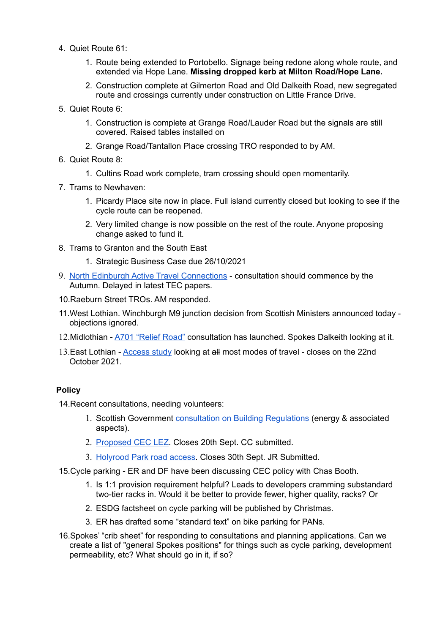- 4. Quiet Route 61:
	- 1. Route being extended to Portobello. Signage being redone along whole route, and extended via Hope Lane. **Missing dropped kerb at Milton Road/Hope Lane.**
	- 2. Construction complete at Gilmerton Road and Old Dalkeith Road, new segregated route and crossings currently under construction on Little France Drive.
- 5. Quiet Route 6:
	- 1. Construction is complete at Grange Road/Lauder Road but the signals are still covered. Raised tables installed on
	- 2. Grange Road/Tantallon Place crossing TRO responded to by AM.
- 6. Quiet Route 8:
	- 1. Cultins Road work complete, tram crossing should open momentarily.
- 7. Trams to Newhaven:
	- 1. Picardy Place site now in place. Full island currently closed but looking to see if the cycle route can be reopened.
	- 2. Very limited change is now possible on the rest of the route. Anyone proposing change asked to fund it.
- 8. Trams to Granton and the South East
	- 1. Strategic Business Case due 26/10/2021
- 9. [North Edinburgh Active Travel Connections](https://neatconnections.commonplace.is/about)  consultation should commence by the Autumn. Delayed in latest TEC papers.
- 10.Raeburn Street TROs. AM responded.
- 11.West Lothian. Winchburgh M9 junction decision from Scottish Ministers announced today objections ignored.
- 12.Midlothian - [A701 "Relief Road"](https://www.a701reliefroad.co.uk/) consultation has launched. Spokes Dalkeith looking at it.
- 13.East Lothian - [Access study](https://www.eastlothian.gov.uk/access-study?utm_source=Twitter&utm_medium=social&utm_campaign=Orlo) looking at all most modes of travel closes on the 22nd October 2021.

#### **Policy**

14.Recent consultations, needing volunteers:

- 1. Scottish Government [consultation on Building Regulations](https://consult.gov.scot/local-government-and-communities/building-regulations-energy-standards-review/) (energy & associated aspects).
- 2. [Proposed CEC LEZ.](https://consultationhub.edinburgh.gov.uk/sfc/low-emission-zone/) Closes 20th Sept. CC submitted.
- 3. [Holyrood Park road access.](https://consultations.historicenvironment.scot/commercial-tourism/holyrood-park/) Closes 30th Sept. JR Submitted.
- 15.Cycle parking ER and DF have been discussing CEC policy with Chas Booth.
	- 1. Is 1:1 provision requirement helpful? Leads to developers cramming substandard two-tier racks in. Would it be better to provide fewer, higher quality, racks? Or
	- 2. ESDG factsheet on cycle parking will be published by Christmas.
	- 3. ER has drafted some "standard text" on bike parking for PANs.
- 16.Spokes' "crib sheet" for responding to consultations and planning applications. Can we create a list of "general Spokes positions" for things such as cycle parking, development permeability, etc? What should go in it, if so?